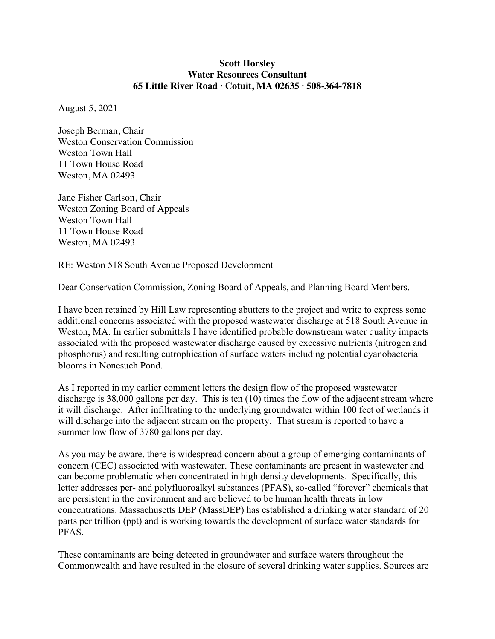#### **Scott Horsley Water Resources Consultant 65 Little River Road · Cotuit, MA 02635 · 508-364-7818**

August 5, 2021

Joseph Berman, Chair Weston Conservation Commission Weston Town Hall 11 Town House Road Weston, MA 02493

Jane Fisher Carlson, Chair Weston Zoning Board of Appeals Weston Town Hall 11 Town House Road Weston, MA 02493

RE: Weston 518 South Avenue Proposed Development

Dear Conservation Commission, Zoning Board of Appeals, and Planning Board Members,

I have been retained by Hill Law representing abutters to the project and write to express some additional concerns associated with the proposed wastewater discharge at 518 South Avenue in Weston, MA. In earlier submittals I have identified probable downstream water quality impacts associated with the proposed wastewater discharge caused by excessive nutrients (nitrogen and phosphorus) and resulting eutrophication of surface waters including potential cyanobacteria blooms in Nonesuch Pond.

As I reported in my earlier comment letters the design flow of the proposed wastewater discharge is 38,000 gallons per day. This is ten (10) times the flow of the adjacent stream where it will discharge. After infiltrating to the underlying groundwater within 100 feet of wetlands it will discharge into the adjacent stream on the property. That stream is reported to have a summer low flow of 3780 gallons per day.

As you may be aware, there is widespread concern about a group of emerging contaminants of concern (CEC) associated with wastewater. These contaminants are present in wastewater and can become problematic when concentrated in high density developments. Specifically, this letter addresses per- and polyfluoroalkyl substances (PFAS), so-called "forever" chemicals that are persistent in the environment and are believed to be human health threats in low concentrations. Massachusetts DEP (MassDEP) has established a drinking water standard of 20 parts per trillion (ppt) and is working towards the development of surface water standards for PFAS.

These contaminants are being detected in groundwater and surface waters throughout the Commonwealth and have resulted in the closure of several drinking water supplies. Sources are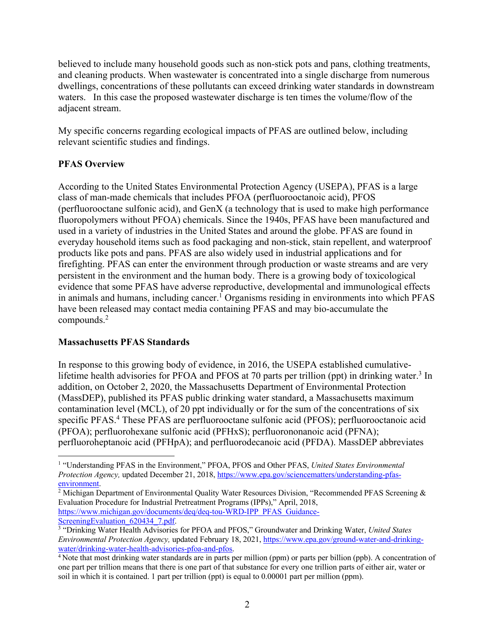believed to include many household goods such as non-stick pots and pans, clothing treatments, and cleaning products. When wastewater is concentrated into a single discharge from numerous dwellings, concentrations of these pollutants can exceed drinking water standards in downstream waters. In this case the proposed wastewater discharge is ten times the volume/flow of the adjacent stream.

My specific concerns regarding ecological impacts of PFAS are outlined below, including relevant scientific studies and findings.

# **PFAS Overview**

According to the United States Environmental Protection Agency (USEPA), PFAS is a large class of man-made chemicals that includes PFOA (perfluorooctanoic acid), PFOS (perfluorooctane sulfonic acid), and GenX (a technology that is used to make high performance fluoropolymers without PFOA) chemicals. Since the 1940s, PFAS have been manufactured and used in a variety of industries in the United States and around the globe. PFAS are found in everyday household items such as food packaging and non-stick, stain repellent, and waterproof products like pots and pans. PFAS are also widely used in industrial applications and for firefighting. PFAS can enter the environment through production or waste streams and are very persistent in the environment and the human body. There is a growing body of toxicological evidence that some PFAS have adverse reproductive, developmental and immunological effects in animals and humans, including cancer. <sup>1</sup> Organisms residing in environments into which PFAS have been released may contact media containing PFAS and may bio-accumulate the compounds. 2

## **Massachusetts PFAS Standards**

In response to this growing body of evidence, in 2016, the USEPA established cumulativelifetime health advisories for PFOA and PFOS at 70 parts per trillion (ppt) in drinking water.<sup>3</sup> In addition, on October 2, 2020, the Massachusetts Department of Environmental Protection (MassDEP), published its PFAS public drinking water standard, a Massachusetts maximum contamination level (MCL), of 20 ppt individually or for the sum of the concentrations of six specific PFAS.<sup>4</sup> These PFAS are perfluorooctane sulfonic acid (PFOS); perfluorooctanoic acid (PFOA); perfluorohexane sulfonic acid (PFHxS); perfluorononanoic acid (PFNA); perfluoroheptanoic acid (PFHpA); and perfluorodecanoic acid (PFDA). MassDEP abbreviates

<sup>1</sup> "Understanding PFAS in the Environment," PFOA, PFOS and Other PFAS, *United States Environmental Protection Agency,* updated December 21, 2018, https://www.epa.gov/sciencematters/understanding-pfas-<br>environment.

<sup>&</sup>lt;sup>2</sup> Michigan Department of Environmental Quality Water Resources Division, "Recommended PFAS Screening & Evaluation Procedure for Industrial Pretreatment Programs (IPPs)," April, 2018, https://www.michigan.gov/documents/deq/deq-tou-WRD-IPP\_PFAS\_Guidance-

ScreeningEvaluation 620434 7.pdf.

<sup>3</sup> "Drinking Water Health Advisories for PFOA and PFOS," Groundwater and Drinking Water, *United States Environmental Protection Agency,* updated February 18, 2021, https://www.epa.gov/ground-water-and-drinkingwater/drinking-water-health-advisories-pfoa-and-pfos.<br><sup>4</sup> Note that most drinking water standards are in parts per million (ppm) or parts per billion (ppb). A concentration of

one part per trillion means that there is one part of that substance for every one trillion parts of either air, water or soil in which it is contained. 1 part per trillion (ppt) is equal to 0.00001 part per million (ppm).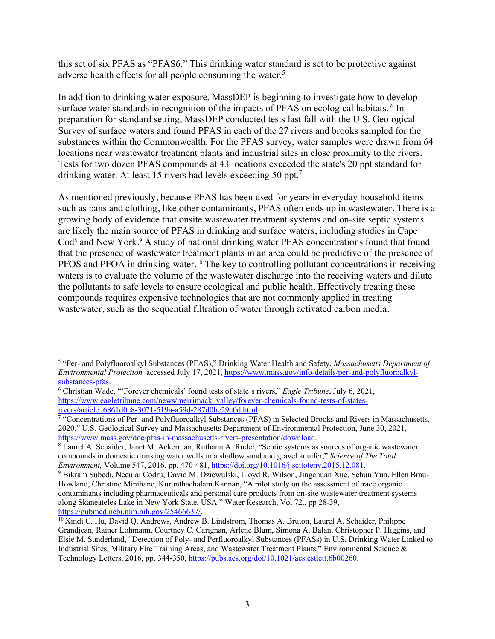this set of six PFAS as "PFAS6." This drinking water standard is set to be protective against adverse health effects for all people consuming the water.<sup>5</sup>

In addition to drinking water exposure, MassDEP is beginning to investigate how to develop surface water standards in recognition of the impacts of PFAS on ecological habitats.<sup>6</sup> In preparation for standard setting, MassDEP conducted tests last fall with the U.S. Geological Survey of surface waters and found PFAS in each of the 27 rivers and brooks sampled for the substances within the Commonwealth. For the PFAS survey, water samples were drawn from 64 locations near wastewater treatment plants and industrial sites in close proximity to the rivers. Tests for two dozen PFAS compounds at 43 locations exceeded the state's 20 ppt standard for drinking water. At least 15 rivers had levels exceeding 50 ppt.<sup>7</sup>

As mentioned previously, because PFAS has been used for years in everyday household items such as pans and clothing, like other contaminants, PFAS often ends up in wastewater. There is a growing body of evidence that onsite wastewater treatment systems and on-site septic systems are likely the main source of PFAS in drinking and surface waters, including studies in Cape Cod<sup>8</sup> and New York.<sup>9</sup> A study of national drinking water PFAS concentrations found that found that the presence of wastewater treatment plants in an area could be predictive of the presence of PFOS and PFOA in drinking water.<sup>10</sup> The key to controlling pollutant concentrations in receiving waters is to evaluate the volume of the wastewater discharge into the receiving waters and dilute the pollutants to safe levels to ensure ecological and public health. Effectively treating these compounds requires expensive technologies that are not commonly applied in treating wastewater, such as the sequential filtration of water through activated carbon media.

<sup>5</sup> "Per- and Polyfluoroalkyl Substances (PFAS)," Drinking Water Health and Safety, *Massachusetts Department of Environmental Protection,* accessed July 17, 2021, https://www.mass.gov/info-details/per-and-polyfluoroalkylsubstances-pfas. 6 Christian Wade, "'Forever chemicals' found tests of state's rivers," *Eagle Tribune*, July 6, 2021,

https://www.eagletribune.com/news/merrimack\_valley/forever-chemicals-found-tests-of-states-

 $\frac{1}{7}$  "Concentrations of Per- and Polyfluoroalkyl Substances (PFAS) in Selected Brooks and Rivers in Massachusetts, 2020," U.S. Geological Survey and Massachusetts Department of Environmental Protection, June 30, 2021, https://www.mass.gov/doc/pfas-in-massachusetts-rivers-presentation/download.<br><sup>8</sup> Laurel A. Schaider, Janet M. Ackerman, Ruthann A. Rudel, "Septic systems as sources of organic wastewater

compounds in domestic drinking water wells in a shallow sand and gravel aquifer," *Science of The Total Environment,* Volume 547, 2016, pp. 470-481, https://doi.org/10.1016/j.scitotenv.2015.12.081. 9 Bikram Subedi, Neculai Codru, David M. Dziewulski, Lloyd R. Wilson, Jingchuan Xue, Sehun Yun, Ellen Brau-

Howland, Christine Minihane, Kurunthachalam Kannan, "A pilot study on the assessment of trace organic contaminants including pharmaceuticals and personal care products from on-site wastewater treatment systems along Skaneateles Lake in New York State, USA." Water Research, Vol 72., pp 28-39, https://pubmed.ncbi.nlm.nih.gov/25466637/.

<sup>&</sup>lt;sup>10</sup> Xindi C. Hu, David Q. Andrews, Andrew B. Lindstrom, Thomas A. Bruton, Laurel A. Schaider, Philippe Grandjean, Rainer Lohmann, Courtney C. Carignan, Arlene Blum, Simona A. Balan, Christopher P. Higgins, and Elsie M. Sunderland, "Detection of Poly- and Perfluoroalkyl Substances (PFASs) in U.S. Drinking Water Linked to Industrial Sites, Military Fire Training Areas, and Wastewater Treatment Plants," Environmental Science & Technology Letters, 2016, pp. 344-350, https://pubs.acs.org/doi/10.1021/acs.estlett.6b00260.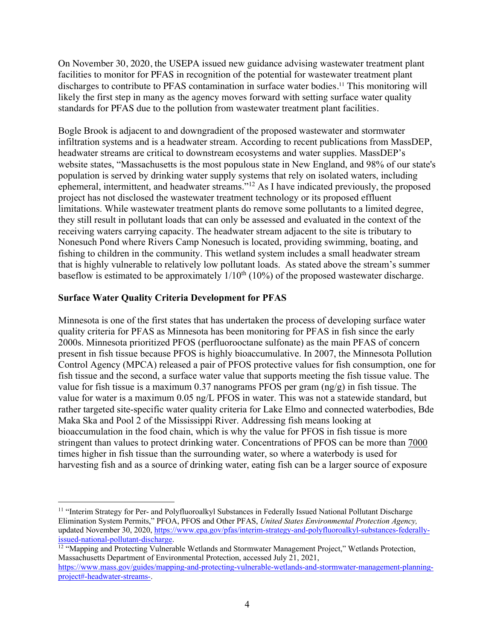On November 30, 2020, the USEPA issued new guidance advising wastewater treatment plant facilities to monitor for PFAS in recognition of the potential for wastewater treatment plant discharges to contribute to PFAS contamination in surface water bodies.<sup>11</sup> This monitoring will likely the first step in many as the agency moves forward with setting surface water quality standards for PFAS due to the pollution from wastewater treatment plant facilities.

Bogle Brook is adjacent to and downgradient of the proposed wastewater and stormwater infiltration systems and is a headwater stream. According to recent publications from MassDEP, headwater streams are critical to downstream ecosystems and water supplies. MassDEP's website states, "Massachusetts is the most populous state in New England, and 98% of our state's population is served by drinking water supply systems that rely on isolated waters, including ephemeral, intermittent, and headwater streams."12 As I have indicated previously, the proposed project has not disclosed the wastewater treatment technology or its proposed effluent limitations. While wastewater treatment plants do remove some pollutants to a limited degree, they still result in pollutant loads that can only be assessed and evaluated in the context of the receiving waters carrying capacity. The headwater stream adjacent to the site is tributary to Nonesuch Pond where Rivers Camp Nonesuch is located, providing swimming, boating, and fishing to children in the community. This wetland system includes a small headwater stream that is highly vulnerable to relatively low pollutant loads. As stated above the stream's summer baseflow is estimated to be approximately  $1/10<sup>th</sup>$  (10%) of the proposed wastewater discharge.

#### **Surface Water Quality Criteria Development for PFAS**

Minnesota is one of the first states that has undertaken the process of developing surface water quality criteria for PFAS as Minnesota has been monitoring for PFAS in fish since the early 2000s. Minnesota prioritized PFOS (perfluorooctane sulfonate) as the main PFAS of concern present in fish tissue because PFOS is highly bioaccumulative. In 2007, the Minnesota Pollution Control Agency (MPCA) released a pair of PFOS protective values for fish consumption, one for fish tissue and the second, a surface water value that supports meeting the fish tissue value. The value for fish tissue is a maximum 0.37 nanograms PFOS per gram (ng/g) in fish tissue. The value for water is a maximum 0.05 ng/L PFOS in water. This was not a statewide standard, but rather targeted site-specific water quality criteria for Lake Elmo and connected waterbodies, Bde Maka Ska and Pool 2 of the Mississippi River. Addressing fish means looking at bioaccumulation in the food chain, which is why the value for PFOS in fish tissue is more stringent than values to protect drinking water. Concentrations of PFOS can be more than 7000 times higher in fish tissue than the surrounding water, so where a waterbody is used for harvesting fish and as a source of drinking water, eating fish can be a larger source of exposure

<sup>&</sup>lt;sup>11</sup> "Interim Strategy for Per- and Polyfluoroalkyl Substances in Federally Issued National Pollutant Discharge Elimination System Permits," PFOA, PFOS and Other PFAS, *United States Environmental Protection Agency,*  updated November 30, 2020, https://www.epa.gov/pfas/interim-strategy-and-polyfluoroalkyl-substances-federallyissued-national-pollutant-discharge.<br><sup>12</sup> "Mapping and Protecting Vulnerable Wetlands and Stormwater Management Project," Wetlands Protection,

Massachusetts Department of Environmental Protection, accessed July 21, 2021, https://www.mass.gov/guides/mapping-and-protecting-vulnerable-wetlands-and-stormwater-management-planning-

project#-headwater-streams-.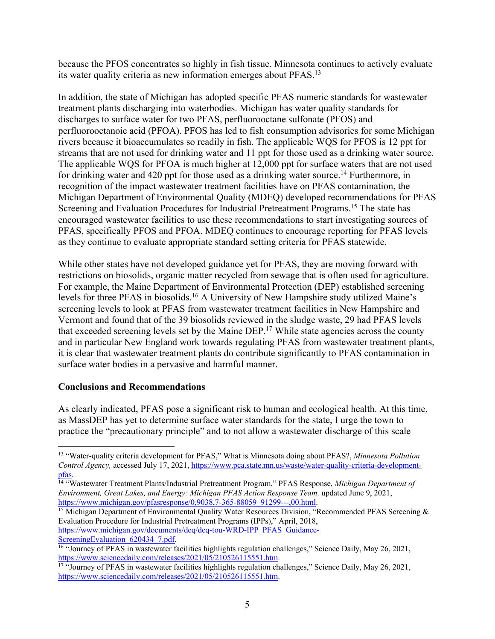because the PFOS concentrates so highly in fish tissue. Minnesota continues to actively evaluate its water quality criteria as new information emerges about PFAS.13

In addition, the state of Michigan has adopted specific PFAS numeric standards for wastewater treatment plants discharging into waterbodies. Michigan has water quality standards for discharges to surface water for two PFAS, perfluorooctane sulfonate (PFOS) and perfluorooctanoic acid (PFOA). PFOS has led to fish consumption advisories for some Michigan rivers because it bioaccumulates so readily in fish. The applicable WQS for PFOS is 12 ppt for streams that are not used for drinking water and 11 ppt for those used as a drinking water source. The applicable WQS for PFOA is much higher at 12,000 ppt for surface waters that are not used for drinking water and 420 ppt for those used as a drinking water source.<sup>14</sup> Furthermore, in recognition of the impact wastewater treatment facilities have on PFAS contamination, the Michigan Department of Environmental Quality (MDEQ) developed recommendations for PFAS Screening and Evaluation Procedures for Industrial Pretreatment Programs.<sup>15</sup> The state has encouraged wastewater facilities to use these recommendations to start investigating sources of PFAS, specifically PFOS and PFOA. MDEQ continues to encourage reporting for PFAS levels as they continue to evaluate appropriate standard setting criteria for PFAS statewide.

While other states have not developed guidance yet for PFAS, they are moving forward with restrictions on biosolids, organic matter recycled from sewage that is often used for agriculture. For example, the Maine Department of Environmental Protection (DEP) established screening levels for three PFAS in biosolids.16 A University of New Hampshire study utilized Maine's screening levels to look at PFAS from wastewater treatment facilities in New Hampshire and Vermont and found that of the 39 biosolids reviewed in the sludge waste, 29 had PFAS levels that exceeded screening levels set by the Maine DEP.17 While state agencies across the county and in particular New England work towards regulating PFAS from wastewater treatment plants, it is clear that wastewater treatment plants do contribute significantly to PFAS contamination in surface water bodies in a pervasive and harmful manner.

## **Conclusions and Recommendations**

As clearly indicated, PFAS pose a significant risk to human and ecological health. At this time, as MassDEP has yet to determine surface water standards for the state, I urge the town to practice the "precautionary principle" and to not allow a wastewater discharge of this scale

Evaluation Procedure for Industrial Pretreatment Programs (IPPs)," April, 2018, https://www.michigan.gov/documents/deq/deq-tou-WRD-IPP\_PFAS\_Guidance-

<sup>13</sup> "Water-quality criteria development for PFAS," What is Minnesota doing about PFAS?, *Minnesota Pollution Control Agency,* accessed July 17, 2021, https://www.pca.state.mn.us/waste/water-quality-criteria-development-

pfas. 14 "Wastewater Treatment Plants/Industrial Pretreatment Program," PFAS Response, *Michigan Department of Environment, Great Lakes, and Energy: Michigan PFAS Action Response Team, updated June 9, 2021,* https://www.michigan.gov/pfasresponse/0,9038,7-365-88059\_91299---,00.html.<br><sup>15</sup> Michigan Department of Environmental Quality Water Resources Division, "Recommended PFAS Screening &

Screening Evaluation 620434 7.pdf. 16 "Journey of Perside and Screening Evaluation challenges," Science Daily, May 26, 2021, https://www.sciencedaily.com/releases/2021/05/210526115551.htm.<br><sup>17</sup> "Journey of PFAS in wastewater facilities highlights regulation challenges," Science Daily, May 26, 2021,

https://www.sciencedaily.com/releases/2021/05/210526115551.htm.